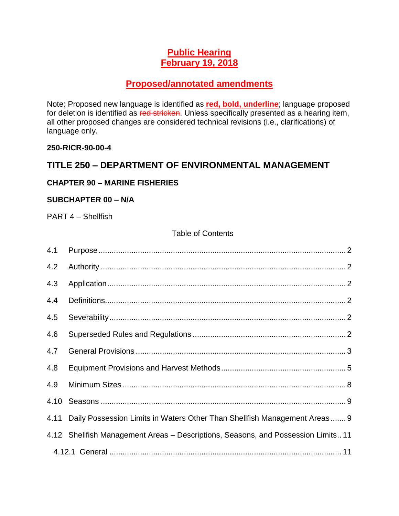### **Public Hearing February 19, 2018**

### **Proposed/annotated amendments**

Note: Proposed new language is identified as **red, bold, underline**; language proposed for deletion is identified as red stricken. Unless specifically presented as a hearing item, all other proposed changes are considered technical revisions (i.e., clarifications) of language only.

#### **250-RICR-90-00-4**

### **TITLE 250 – DEPARTMENT OF ENVIRONMENTAL MANAGEMENT**

#### **CHAPTER 90 – MARINE FISHERIES**

#### **SUBCHAPTER 00 – N/A**

PART 4 – Shellfish

#### Table of Contents

| 4.1 |                                                                                   |
|-----|-----------------------------------------------------------------------------------|
| 4.2 |                                                                                   |
| 4.3 |                                                                                   |
| 4.4 |                                                                                   |
| 4.5 |                                                                                   |
| 4.6 |                                                                                   |
| 4.7 |                                                                                   |
| 4.8 |                                                                                   |
| 4.9 |                                                                                   |
|     |                                                                                   |
|     | 4.11 Daily Possession Limits in Waters Other Than Shellfish Management Areas 9    |
|     | 4.12 Shellfish Management Areas - Descriptions, Seasons, and Possession Limits 11 |
|     |                                                                                   |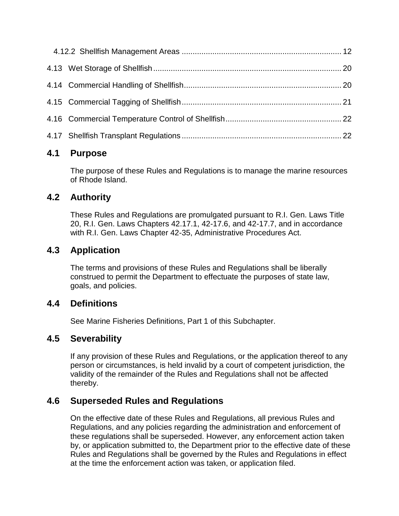### <span id="page-1-0"></span>**4.1 Purpose**

The purpose of these Rules and Regulations is to manage the marine resources of Rhode Island.

# <span id="page-1-1"></span>**4.2 Authority**

These Rules and Regulations are promulgated pursuant to R.I. Gen. Laws Title 20, R.I. Gen. Laws Chapters 42.17.1, 42-17.6, and 42-17.7, and in accordance with R.I. Gen. Laws Chapter 42-35, Administrative Procedures Act.

# <span id="page-1-2"></span>**4.3 Application**

The terms and provisions of these Rules and Regulations shall be liberally construed to permit the Department to effectuate the purposes of state law, goals, and policies.

### <span id="page-1-3"></span>**4.4 Definitions**

See Marine Fisheries Definitions, Part 1 of this Subchapter.

# <span id="page-1-4"></span>**4.5 Severability**

If any provision of these Rules and Regulations, or the application thereof to any person or circumstances, is held invalid by a court of competent jurisdiction, the validity of the remainder of the Rules and Regulations shall not be affected thereby.

# <span id="page-1-5"></span>**4.6 Superseded Rules and Regulations**

On the effective date of these Rules and Regulations, all previous Rules and Regulations, and any policies regarding the administration and enforcement of these regulations shall be superseded. However, any enforcement action taken by, or application submitted to, the Department prior to the effective date of these Rules and Regulations shall be governed by the Rules and Regulations in effect at the time the enforcement action was taken, or application filed.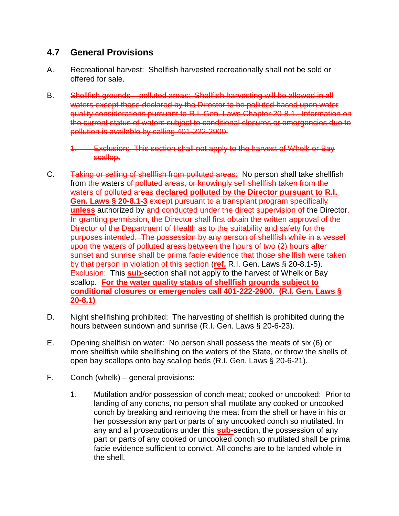### <span id="page-2-0"></span>**4.7 General Provisions**

- A. Recreational harvest: Shellfish harvested recreationally shall not be sold or offered for sale.
- B. Shellfish grounds polluted areas: Shellfish harvesting will be allowed in all waters except those declared by the Director to be polluted based upon water quality considerations pursuant to R.I. Gen. Laws Chapter 20-8.1. Information on the current status of waters subject to conditional closures or emergencies due to pollution is available by calling 401-222-2900.

- C. Taking or selling of shellfish from polluted areas: No person shall take shellfish from the waters of polluted areas, or knowingly sell shellfish taken from the waters of polluted areas **declared polluted by the Director pursuant to R.I. Gen. Laws § 20-8.1-3** except pursuant to a transplant program specifically **unless** authorized by and conducted under the direct supervision of the Director. In granting permission, the Director shall first obtain the written approval of the Director of the Department of Health as to the suitability and safety for the purposes intended. The possession by any person of shellfish while in a vessel upon the waters of polluted areas between the hours of two (2) hours after sunset and sunrise shall be prima facie evidence that those shellfish were taken by that person in violation of this section (**ref.** R.I. Gen. Laws § 20-8.1-5). Exclusion: This **sub-**section shall not apply to the harvest of Whelk or Bay scallop. **For the water quality status of shellfish grounds subject to conditional closures or emergencies call 401-222-2900. (R.I. Gen. Laws § 20-8.1)**
- D. Night shellfishing prohibited: The harvesting of shellfish is prohibited during the hours between sundown and sunrise (R.I. Gen. Laws § 20-6-23).
- E. Opening shellfish on water: No person shall possess the meats of six (6) or more shellfish while shellfishing on the waters of the State, or throw the shells of open bay scallops onto bay scallop beds (R.I. Gen. Laws § 20-6-21).
- F. Conch (whelk) general provisions:
	- 1. Mutilation and/or possession of conch meat; cooked or uncooked: Prior to landing of any conchs, no person shall mutilate any cooked or uncooked conch by breaking and removing the meat from the shell or have in his or her possession any part or parts of any uncooked conch so mutilated. In any and all prosecutions under this **sub-**section, the possession of any part or parts of any cooked or uncooked conch so mutilated shall be prima facie evidence sufficient to convict. All conchs are to be landed whole in the shell.

<sup>1.</sup> Exclusion: This section shall not apply to the harvest of Whelk or Bay scallop.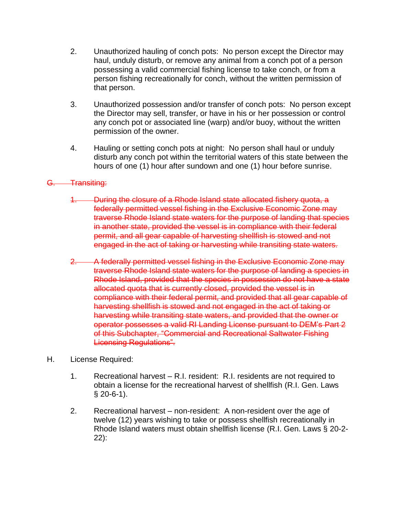- 2. Unauthorized hauling of conch pots: No person except the Director may haul, unduly disturb, or remove any animal from a conch pot of a person possessing a valid commercial fishing license to take conch, or from a person fishing recreationally for conch, without the written permission of that person.
- 3. Unauthorized possession and/or transfer of conch pots: No person except the Director may sell, transfer, or have in his or her possession or control any conch pot or associated line (warp) and/or buoy, without the written permission of the owner.
- 4. Hauling or setting conch pots at night: No person shall haul or unduly disturb any conch pot within the territorial waters of this state between the hours of one (1) hour after sundown and one (1) hour before sunrise.

#### G. **Transiting:**

- 1. During the closure of a Rhode Island state allocated fishery quota, a federally permitted vessel fishing in the Exclusive Economic Zone may traverse Rhode Island state waters for the purpose of landing that species in another state, provided the vessel is in compliance with their federal permit, and all gear capable of harvesting shellfish is stowed and not engaged in the act of taking or harvesting while transiting state waters.
- 2. A federally permitted vessel fishing in the Exclusive Economic Zone may traverse Rhode Island state waters for the purpose of landing a species in Rhode Island, provided that the species in possession do not have a state allocated quota that is currently closed, provided the vessel is in compliance with their federal permit, and provided that all gear capable of harvesting shellfish is stowed and not engaged in the act of taking or harvesting while transiting state waters, and provided that the owner or operator possesses a valid RI Landing License pursuant to DEM's Part 2 of this Subchapter, "Commercial and Recreational Saltwater Fishing Licensing Regulations".
- H. License Required:
	- 1. Recreational harvest R.I. resident: R.I. residents are not required to obtain a license for the recreational harvest of shellfish (R.I. Gen. Laws § 20-6-1).
	- 2. Recreational harvest non-resident: A non-resident over the age of twelve (12) years wishing to take or possess shellfish recreationally in Rhode Island waters must obtain shellfish license (R.I. Gen. Laws § 20-2- 22):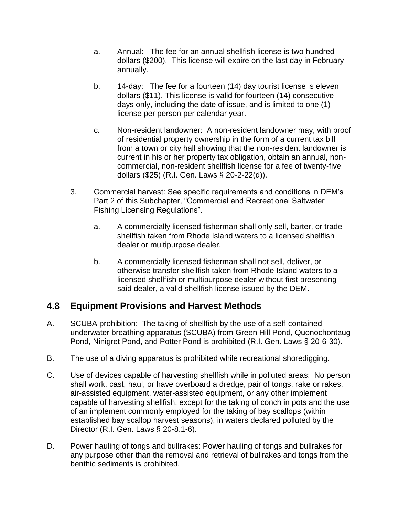- a. Annual: The fee for an annual shellfish license is two hundred dollars (\$200). This license will expire on the last day in February annually.
- b. 14-day: The fee for a fourteen (14) day tourist license is eleven dollars (\$11). This license is valid for fourteen (14) consecutive days only, including the date of issue, and is limited to one (1) license per person per calendar year.
- c. Non-resident landowner: A non-resident landowner may, with proof of residential property ownership in the form of a current tax bill from a town or city hall showing that the non-resident landowner is current in his or her property tax obligation, obtain an annual, noncommercial, non-resident shellfish license for a fee of twenty-five dollars (\$25) (R.I. Gen. Laws § 20-2-22(d)).
- 3. Commercial harvest: See specific requirements and conditions in DEM's Part 2 of this Subchapter, "Commercial and Recreational Saltwater Fishing Licensing Regulations".
	- a. A commercially licensed fisherman shall only sell, barter, or trade shellfish taken from Rhode Island waters to a licensed shellfish dealer or multipurpose dealer.
	- b. A commercially licensed fisherman shall not sell, deliver, or otherwise transfer shellfish taken from Rhode Island waters to a licensed shellfish or multipurpose dealer without first presenting said dealer, a valid shellfish license issued by the DEM.

### <span id="page-4-0"></span>**4.8 Equipment Provisions and Harvest Methods**

- A. SCUBA prohibition: The taking of shellfish by the use of a self-contained underwater breathing apparatus (SCUBA) from Green Hill Pond, Quonochontaug Pond, Ninigret Pond, and Potter Pond is prohibited (R.I. Gen. Laws § 20-6-30).
- B. The use of a diving apparatus is prohibited while recreational shoredigging.
- C. Use of devices capable of harvesting shellfish while in polluted areas: No person shall work, cast, haul, or have overboard a dredge, pair of tongs, rake or rakes, air-assisted equipment, water-assisted equipment, or any other implement capable of harvesting shellfish, except for the taking of conch in pots and the use of an implement commonly employed for the taking of bay scallops (within established bay scallop harvest seasons), in waters declared polluted by the Director (R.I. Gen. Laws § 20-8.1-6).
- D. Power hauling of tongs and bullrakes: Power hauling of tongs and bullrakes for any purpose other than the removal and retrieval of bullrakes and tongs from the benthic sediments is prohibited.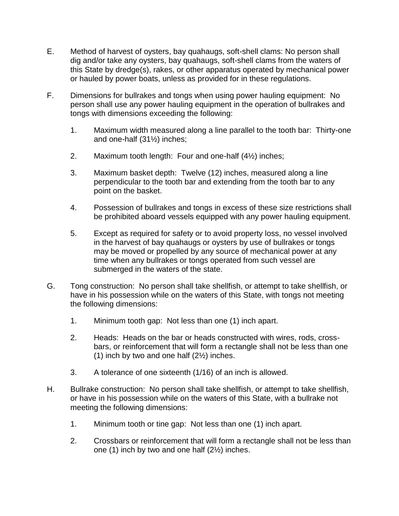- E. Method of harvest of oysters, bay quahaugs, soft-shell clams: No person shall dig and/or take any oysters, bay quahaugs, soft-shell clams from the waters of this State by dredge(s), rakes, or other apparatus operated by mechanical power or hauled by power boats, unless as provided for in these regulations.
- F. Dimensions for bullrakes and tongs when using power hauling equipment: No person shall use any power hauling equipment in the operation of bullrakes and tongs with dimensions exceeding the following:
	- 1. Maximum width measured along a line parallel to the tooth bar: Thirty-one and one-half (31½) inches;
	- 2. Maximum tooth length: Four and one-half (4½) inches;
	- 3. Maximum basket depth: Twelve (12) inches, measured along a line perpendicular to the tooth bar and extending from the tooth bar to any point on the basket.
	- 4. Possession of bullrakes and tongs in excess of these size restrictions shall be prohibited aboard vessels equipped with any power hauling equipment.
	- 5. Except as required for safety or to avoid property loss, no vessel involved in the harvest of bay quahaugs or oysters by use of bullrakes or tongs may be moved or propelled by any source of mechanical power at any time when any bullrakes or tongs operated from such vessel are submerged in the waters of the state.
- G. Tong construction: No person shall take shellfish, or attempt to take shellfish, or have in his possession while on the waters of this State, with tongs not meeting the following dimensions:
	- 1. Minimum tooth gap: Not less than one (1) inch apart.
	- 2. Heads: Heads on the bar or heads constructed with wires, rods, crossbars, or reinforcement that will form a rectangle shall not be less than one (1) inch by two and one half (2½) inches.
	- 3. A tolerance of one sixteenth (1/16) of an inch is allowed.
- H. Bullrake construction: No person shall take shellfish, or attempt to take shellfish, or have in his possession while on the waters of this State, with a bullrake not meeting the following dimensions:
	- 1. Minimum tooth or tine gap: Not less than one (1) inch apart.
	- 2. Crossbars or reinforcement that will form a rectangle shall not be less than one (1) inch by two and one half (2½) inches.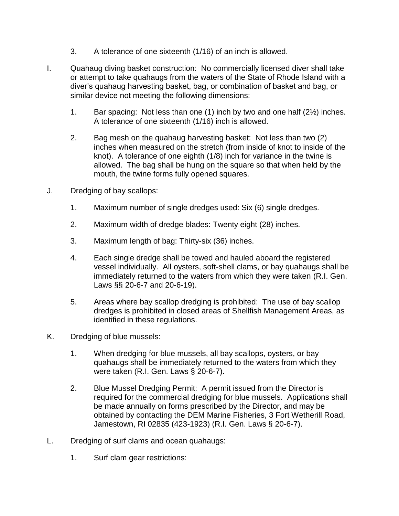- 3. A tolerance of one sixteenth (1/16) of an inch is allowed.
- I. Quahaug diving basket construction: No commercially licensed diver shall take or attempt to take quahaugs from the waters of the State of Rhode Island with a diver's quahaug harvesting basket, bag, or combination of basket and bag, or similar device not meeting the following dimensions:
	- 1. Bar spacing: Not less than one (1) inch by two and one half (2½) inches. A tolerance of one sixteenth (1/16) inch is allowed.
	- 2. Bag mesh on the quahaug harvesting basket: Not less than two (2) inches when measured on the stretch (from inside of knot to inside of the knot). A tolerance of one eighth (1/8) inch for variance in the twine is allowed. The bag shall be hung on the square so that when held by the mouth, the twine forms fully opened squares.
- J. Dredging of bay scallops:
	- 1. Maximum number of single dredges used: Six (6) single dredges.
	- 2. Maximum width of dredge blades: Twenty eight (28) inches.
	- 3. Maximum length of bag: Thirty-six (36) inches.
	- 4. Each single dredge shall be towed and hauled aboard the registered vessel individually. All oysters, soft-shell clams, or bay quahaugs shall be immediately returned to the waters from which they were taken (R.I. Gen. Laws §§ 20-6-7 and 20-6-19).
	- 5. Areas where bay scallop dredging is prohibited: The use of bay scallop dredges is prohibited in closed areas of Shellfish Management Areas, as identified in these regulations.
- K. Dredging of blue mussels:
	- 1. When dredging for blue mussels, all bay scallops, oysters, or bay quahaugs shall be immediately returned to the waters from which they were taken (R.I. Gen. Laws § 20-6-7).
	- 2. Blue Mussel Dredging Permit: A permit issued from the Director is required for the commercial dredging for blue mussels. Applications shall be made annually on forms prescribed by the Director, and may be obtained by contacting the DEM Marine Fisheries, 3 Fort Wetherill Road, Jamestown, RI 02835 (423-1923) (R.I. Gen. Laws § 20-6-7).
- L. Dredging of surf clams and ocean quahaugs:
	- 1. Surf clam gear restrictions: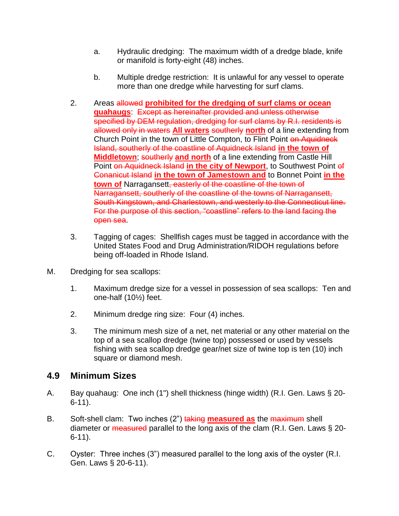- a. Hydraulic dredging: The maximum width of a dredge blade, knife or manifold is forty-eight (48) inches.
- b. Multiple dredge restriction: It is unlawful for any vessel to operate more than one dredge while harvesting for surf clams.
- 2. Areas allowed **prohibited for the dredging of surf clams or ocean quahaugs**: Except as hereinafter provided and unless otherwise specified by DEM regulation, dredging for surf clams by R.I. residents is allowed only in waters **All waters** southerly **north** of a line extending from Church Point in the town of Little Compton, to Flint Point on Aquidneck Island, southerly of the coastline of Aquidneck Island **in the town of Middletown**; southerly and north of a line extending from Castle Hill Point on Aquidneck Island in the city of Newport, to Southwest Point of Conanicut Island **in the town of Jamestown and** to Bonnet Point **in the town of** Narragansett, easterly of the coastline of the town of Narragansett, southerly of the coastline of the towns of Narragansett, South Kingstown, and Charlestown, and westerly to the Connecticut line. For the purpose of this section, "coastline" refers to the land facing the open sea.
- 3. Tagging of cages: Shellfish cages must be tagged in accordance with the United States Food and Drug Administration/RIDOH regulations before being off-loaded in Rhode Island.
- M. Dredging for sea scallops:
	- 1. Maximum dredge size for a vessel in possession of sea scallops: Ten and one-half (10½) feet.
	- 2. Minimum dredge ring size: Four (4) inches.
	- 3. The minimum mesh size of a net, net material or any other material on the top of a sea scallop dredge (twine top) possessed or used by vessels fishing with sea scallop dredge gear/net size of twine top is ten (10) inch square or diamond mesh.

### <span id="page-7-0"></span>**4.9 Minimum Sizes**

- A. Bay quahaug: One inch (1") shell thickness (hinge width) (R.I. Gen. Laws § 20- 6-11).
- B. Soft-shell clam: Two inches (2") taking **measured as** the maximum shell diameter or measured parallel to the long axis of the clam (R.I. Gen. Laws § 20-6-11).
- C. Oyster: Three inches (3") measured parallel to the long axis of the oyster (R.I. Gen. Laws § 20-6-11).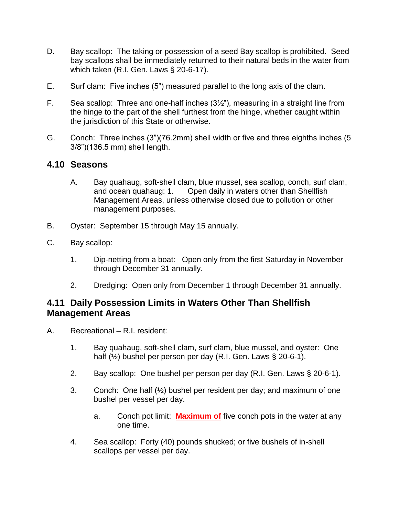- D. Bay scallop: The taking or possession of a seed Bay scallop is prohibited. Seed bay scallops shall be immediately returned to their natural beds in the water from which taken (R.I. Gen. Laws § 20-6-17).
- E. Surf clam: Five inches (5") measured parallel to the long axis of the clam.
- F. Sea scallop: Three and one-half inches (3½"), measuring in a straight line from the hinge to the part of the shell furthest from the hinge, whether caught within the jurisdiction of this State or otherwise.
- G. Conch: Three inches (3")(76.2mm) shell width or five and three eighths inches (5 3/8")(136.5 mm) shell length.

#### <span id="page-8-0"></span>**4.10 Seasons**

- A. Bay quahaug, soft-shell clam, blue mussel, sea scallop, conch, surf clam, and ocean quahaug: 1. Open daily in waters other than Shellfish Management Areas, unless otherwise closed due to pollution or other management purposes.
- B. Oyster: September 15 through May 15 annually.
- C. Bay scallop:
	- 1. Dip-netting from a boat: Open only from the first Saturday in November through December 31 annually.
	- 2. Dredging: Open only from December 1 through December 31 annually.

### <span id="page-8-1"></span>**4.11 Daily Possession Limits in Waters Other Than Shellfish Management Areas**

- A. Recreational R.I. resident:
	- 1. Bay quahaug, soft-shell clam, surf clam, blue mussel, and oyster: One half (½) bushel per person per day (R.I. Gen. Laws § 20-6-1).
	- 2. Bay scallop: One bushel per person per day (R.I. Gen. Laws § 20-6-1).
	- 3. Conch: One half  $(\frac{1}{2})$  bushel per resident per day; and maximum of one bushel per vessel per day.
		- a. Conch pot limit: **Maximum of** five conch pots in the water at any one time.
	- 4. Sea scallop: Forty (40) pounds shucked; or five bushels of in-shell scallops per vessel per day.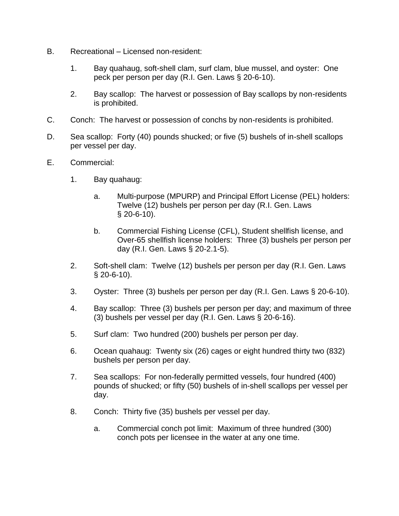- B. Recreational Licensed non-resident:
	- 1. Bay quahaug, soft-shell clam, surf clam, blue mussel, and oyster: One peck per person per day (R.I. Gen. Laws § 20-6-10).
	- 2. Bay scallop: The harvest or possession of Bay scallops by non-residents is prohibited.
- C. Conch: The harvest or possession of conchs by non-residents is prohibited.
- D. Sea scallop: Forty (40) pounds shucked; or five (5) bushels of in-shell scallops per vessel per day.
- E. Commercial:
	- 1. Bay quahaug:
		- a. Multi-purpose (MPURP) and Principal Effort License (PEL) holders: Twelve (12) bushels per person per day (R.I. Gen. Laws § 20-6-10).
		- b. Commercial Fishing License (CFL), Student shellfish license, and Over-65 shellfish license holders: Three (3) bushels per person per day (R.I. Gen. Laws § 20-2.1-5).
	- 2. Soft-shell clam: Twelve (12) bushels per person per day (R.I. Gen. Laws § 20-6-10).
	- 3. Oyster: Three (3) bushels per person per day (R.I. Gen. Laws § 20-6-10).
	- 4. Bay scallop: Three (3) bushels per person per day; and maximum of three (3) bushels per vessel per day (R.I. Gen. Laws § 20-6-16).
	- 5. Surf clam: Two hundred (200) bushels per person per day.
	- 6. Ocean quahaug: Twenty six (26) cages or eight hundred thirty two (832) bushels per person per day.
	- 7. Sea scallops: For non-federally permitted vessels, four hundred (400) pounds of shucked; or fifty (50) bushels of in-shell scallops per vessel per day.
	- 8. Conch: Thirty five (35) bushels per vessel per day.
		- a. Commercial conch pot limit: Maximum of three hundred (300) conch pots per licensee in the water at any one time.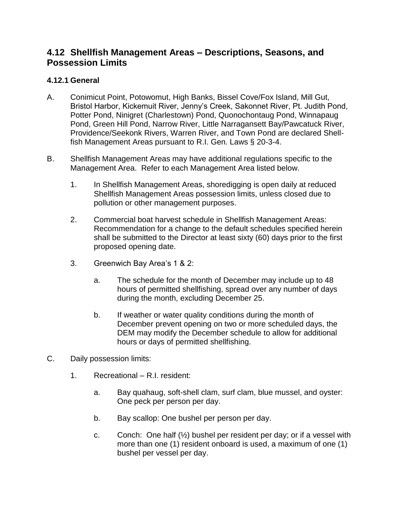### <span id="page-10-0"></span>**4.12 Shellfish Management Areas – Descriptions, Seasons, and Possession Limits**

#### <span id="page-10-1"></span>**4.12.1 General**

- A. Conimicut Point, Potowomut, High Banks, Bissel Cove/Fox Island, Mill Gut, Bristol Harbor, Kickemuit River, Jenny's Creek, Sakonnet River, Pt. Judith Pond, Potter Pond, Ninigret (Charlestown) Pond, Quonochontaug Pond, Winnapaug Pond, Green Hill Pond, Narrow River, Little Narragansett Bay/Pawcatuck River, Providence/Seekonk Rivers, Warren River, and Town Pond are declared Shellfish Management Areas pursuant to R.I. Gen. Laws § 20-3-4.
- B. Shellfish Management Areas may have additional regulations specific to the Management Area. Refer to each Management Area listed below.
	- 1. In Shellfish Management Areas, shoredigging is open daily at reduced Shellfish Management Areas possession limits, unless closed due to pollution or other management purposes.
	- 2. Commercial boat harvest schedule in Shellfish Management Areas: Recommendation for a change to the default schedules specified herein shall be submitted to the Director at least sixty (60) days prior to the first proposed opening date.
	- 3. Greenwich Bay Area's 1 & 2:
		- a. The schedule for the month of December may include up to 48 hours of permitted shellfishing, spread over any number of days during the month, excluding December 25.
		- b. If weather or water quality conditions during the month of December prevent opening on two or more scheduled days, the DEM may modify the December schedule to allow for additional hours or days of permitted shellfishing.
- C. Daily possession limits:
	- 1. Recreational R.I. resident:
		- a. Bay quahaug, soft-shell clam, surf clam, blue mussel, and oyster: One peck per person per day.
		- b. Bay scallop: One bushel per person per day.
		- c. Conch: One half  $(\frac{1}{2})$  bushel per resident per day; or if a vessel with more than one (1) resident onboard is used, a maximum of one (1) bushel per vessel per day.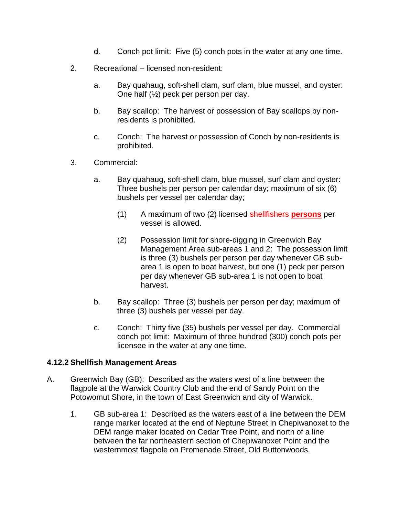- d. Conch pot limit: Five (5) conch pots in the water at any one time.
- 2. Recreational licensed non-resident:
	- a. Bay quahaug, soft-shell clam, surf clam, blue mussel, and oyster: One half (½) peck per person per day.
	- b. Bay scallop: The harvest or possession of Bay scallops by nonresidents is prohibited.
	- c. Conch: The harvest or possession of Conch by non-residents is prohibited.
- 3. Commercial:
	- a. Bay quahaug, soft-shell clam, blue mussel, surf clam and oyster: Three bushels per person per calendar day; maximum of six (6) bushels per vessel per calendar day;
		- (1) A maximum of two (2) licensed shellfishers **persons** per vessel is allowed.
		- (2) Possession limit for shore-digging in Greenwich Bay Management Area sub-areas 1 and 2: The possession limit is three (3) bushels per person per day whenever GB subarea 1 is open to boat harvest, but one (1) peck per person per day whenever GB sub-area 1 is not open to boat harvest.
	- b. Bay scallop: Three (3) bushels per person per day; maximum of three (3) bushels per vessel per day.
	- c. Conch: Thirty five (35) bushels per vessel per day. Commercial conch pot limit: Maximum of three hundred (300) conch pots per licensee in the water at any one time.

#### <span id="page-11-0"></span>**4.12.2 Shellfish Management Areas**

- A. Greenwich Bay (GB): Described as the waters west of a line between the flagpole at the Warwick Country Club and the end of Sandy Point on the Potowomut Shore, in the town of East Greenwich and city of Warwick.
	- 1. GB sub-area 1: Described as the waters east of a line between the DEM range marker located at the end of Neptune Street in Chepiwanoxet to the DEM range maker located on Cedar Tree Point, and north of a line between the far northeastern section of Chepiwanoxet Point and the westernmost flagpole on Promenade Street, Old Buttonwoods.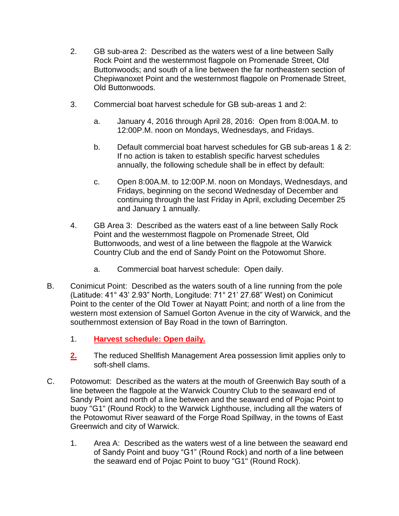- 2. GB sub-area 2: Described as the waters west of a line between Sally Rock Point and the westernmost flagpole on Promenade Street, Old Buttonwoods; and south of a line between the far northeastern section of Chepiwanoxet Point and the westernmost flagpole on Promenade Street, Old Buttonwoods.
- 3. Commercial boat harvest schedule for GB sub-areas 1 and 2:
	- a. January 4, 2016 through April 28, 2016: Open from 8:00A.M. to 12:00P.M. noon on Mondays, Wednesdays, and Fridays.
	- b. Default commercial boat harvest schedules for GB sub-areas 1 & 2: If no action is taken to establish specific harvest schedules annually, the following schedule shall be in effect by default:
	- c. Open 8:00A.M. to 12:00P.M. noon on Mondays, Wednesdays, and Fridays, beginning on the second Wednesday of December and continuing through the last Friday in April, excluding December 25 and January 1 annually.
- 4. GB Area 3: Described as the waters east of a line between Sally Rock Point and the westernmost flagpole on Promenade Street, Old Buttonwoods, and west of a line between the flagpole at the Warwick Country Club and the end of Sandy Point on the Potowomut Shore.
	- a. Commercial boat harvest schedule: Open daily.
- B. Conimicut Point: Described as the waters south of a line running from the pole (Latitude: 41° 43' 2.93" North, Longitude: 71° 21' 27.68" West) on Conimicut Point to the center of the Old Tower at Nayatt Point; and north of a line from the western most extension of Samuel Gorton Avenue in the city of Warwick, and the southernmost extension of Bay Road in the town of Barrington.
	- 1. **Harvest schedule: Open daily.**
	- **2.** The reduced Shellfish Management Area possession limit applies only to soft-shell clams.
- C. Potowomut: Described as the waters at the mouth of Greenwich Bay south of a line between the flagpole at the Warwick Country Club to the seaward end of Sandy Point and north of a line between and the seaward end of Pojac Point to buoy "G1" (Round Rock) to the Warwick Lighthouse, including all the waters of the Potowomut River seaward of the Forge Road Spillway, in the towns of East Greenwich and city of Warwick.
	- 1. Area A: Described as the waters west of a line between the seaward end of Sandy Point and buoy "G1" (Round Rock) and north of a line between the seaward end of Pojac Point to buoy "G1" (Round Rock).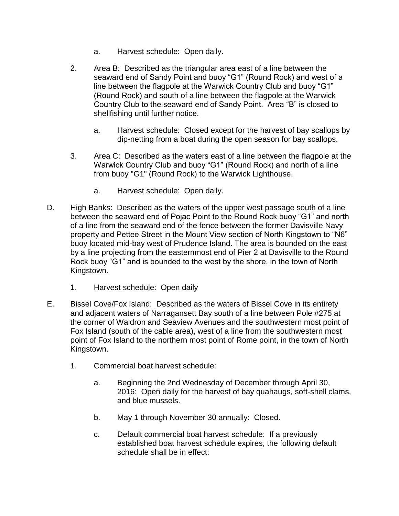- a. Harvest schedule: Open daily.
- 2. Area B: Described as the triangular area east of a line between the seaward end of Sandy Point and buoy "G1" (Round Rock) and west of a line between the flagpole at the Warwick Country Club and buoy "G1" (Round Rock) and south of a line between the flagpole at the Warwick Country Club to the seaward end of Sandy Point. Area "B" is closed to shellfishing until further notice.
	- a. Harvest schedule: Closed except for the harvest of bay scallops by dip-netting from a boat during the open season for bay scallops.
- 3. Area C: Described as the waters east of a line between the flagpole at the Warwick Country Club and buoy "G1" (Round Rock) and north of a line from buoy "G1" (Round Rock) to the Warwick Lighthouse.
	- a. Harvest schedule: Open daily.
- D. High Banks: Described as the waters of the upper west passage south of a line between the seaward end of Pojac Point to the Round Rock buoy "G1" and north of a line from the seaward end of the fence between the former Davisville Navy property and Pettee Street in the Mount View section of North Kingstown to "N6" buoy located mid-bay west of Prudence Island. The area is bounded on the east by a line projecting from the easternmost end of Pier 2 at Davisville to the Round Rock buoy "G1" and is bounded to the west by the shore, in the town of North Kingstown.
	- 1. Harvest schedule: Open daily
- E. Bissel Cove/Fox Island: Described as the waters of Bissel Cove in its entirety and adjacent waters of Narragansett Bay south of a line between Pole #275 at the corner of Waldron and Seaview Avenues and the southwestern most point of Fox Island (south of the cable area), west of a line from the southwestern most point of Fox Island to the northern most point of Rome point, in the town of North Kingstown.
	- 1. Commercial boat harvest schedule:
		- a. Beginning the 2nd Wednesday of December through April 30, 2016: Open daily for the harvest of bay quahaugs, soft-shell clams, and blue mussels.
		- b. May 1 through November 30 annually: Closed.
		- c. Default commercial boat harvest schedule: If a previously established boat harvest schedule expires, the following default schedule shall be in effect: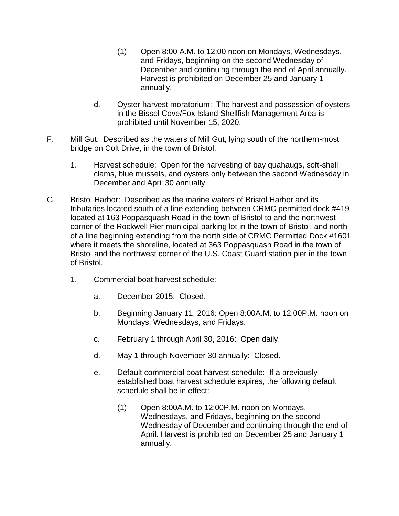- (1) Open 8:00 A.M. to 12:00 noon on Mondays, Wednesdays, and Fridays, beginning on the second Wednesday of December and continuing through the end of April annually. Harvest is prohibited on December 25 and January 1 annually.
- d. Oyster harvest moratorium: The harvest and possession of oysters in the Bissel Cove/Fox Island Shellfish Management Area is prohibited until November 15, 2020.
- F. Mill Gut: Described as the waters of Mill Gut, lying south of the northern-most bridge on Colt Drive, in the town of Bristol.
	- 1. Harvest schedule: Open for the harvesting of bay quahaugs, soft-shell clams, blue mussels, and oysters only between the second Wednesday in December and April 30 annually.
- G. Bristol Harbor: Described as the marine waters of Bristol Harbor and its tributaries located south of a line extending between CRMC permitted dock #419 located at 163 Poppasquash Road in the town of Bristol to and the northwest corner of the Rockwell Pier municipal parking lot in the town of Bristol; and north of a line beginning extending from the north side of CRMC Permitted Dock #1601 where it meets the shoreline, located at 363 Poppasquash Road in the town of Bristol and the northwest corner of the U.S. Coast Guard station pier in the town of Bristol.
	- 1. Commercial boat harvest schedule:
		- a. December 2015: Closed.
		- b. Beginning January 11, 2016: Open 8:00A.M. to 12:00P.M. noon on Mondays, Wednesdays, and Fridays.
		- c. February 1 through April 30, 2016: Open daily.
		- d. May 1 through November 30 annually: Closed.
		- e. Default commercial boat harvest schedule: If a previously established boat harvest schedule expires, the following default schedule shall be in effect:
			- (1) Open 8:00A.M. to 12:00P.M. noon on Mondays, Wednesdays, and Fridays, beginning on the second Wednesday of December and continuing through the end of April. Harvest is prohibited on December 25 and January 1 annually.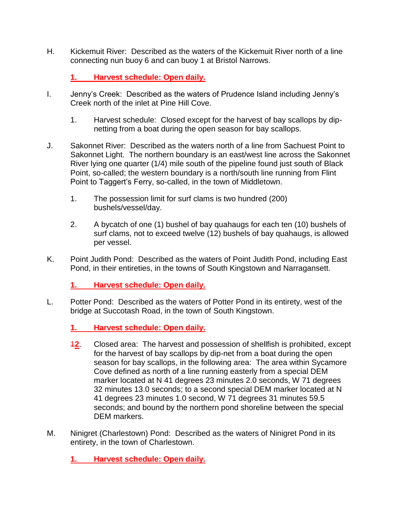H. Kickemuit River: Described as the waters of the Kickemuit River north of a line connecting nun buoy 6 and can buoy 1 at Bristol Narrows.

#### **1. Harvest schedule: Open daily.**

- I. Jenny's Creek: Described as the waters of Prudence Island including Jenny's Creek north of the inlet at Pine Hill Cove.
	- 1. Harvest schedule: Closed except for the harvest of bay scallops by dipnetting from a boat during the open season for bay scallops.
- J. Sakonnet River: Described as the waters north of a line from Sachuest Point to Sakonnet Light. The northern boundary is an east/west line across the Sakonnet River lying one quarter (1/4) mile south of the pipeline found just south of Black Point, so-called; the western boundary is a north/south line running from Flint Point to Taggert's Ferry, so-called, in the town of Middletown.
	- 1. The possession limit for surf clams is two hundred (200) bushels/vessel/day.
	- 2. A bycatch of one (1) bushel of bay quahaugs for each ten (10) bushels of surf clams, not to exceed twelve (12) bushels of bay quahaugs, is allowed per vessel.
- K. Point Judith Pond: Described as the waters of Point Judith Pond, including East Pond, in their entireties, in the towns of South Kingstown and Narragansett.

**1. Harvest schedule: Open daily.**

L. Potter Pond: Described as the waters of Potter Pond in its entirety, west of the bridge at Succotash Road, in the town of South Kingstown.

**1. Harvest schedule: Open daily.**

- 1**2**. Closed area: The harvest and possession of shellfish is prohibited, except for the harvest of bay scallops by dip-net from a boat during the open season for bay scallops, in the following area: The area within Sycamore Cove defined as north of a line running easterly from a special DEM marker located at N 41 degrees 23 minutes 2.0 seconds, W 71 degrees 32 minutes 13.0 seconds; to a second special DEM marker located at N 41 degrees 23 minutes 1.0 second, W 71 degrees 31 minutes 59.5 seconds; and bound by the northern pond shoreline between the special DEM markers.
- M. Ninigret (Charlestown) Pond: Described as the waters of Ninigret Pond in its entirety, in the town of Charlestown.
	- **1. Harvest schedule: Open daily.**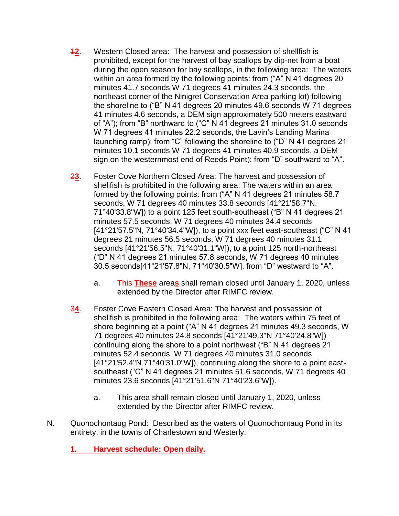- 1**2**. Western Closed area: The harvest and possession of shellfish is prohibited, except for the harvest of bay scallops by dip-net from a boat during the open season for bay scallops, in the following area: The waters within an area formed by the following points: from ("A" N 41 degrees 20 minutes 41.7 seconds W 71 degrees 41 minutes 24.3 seconds, the northeast corner of the Ninigret Conservation Area parking lot) following the shoreline to ("B" N 41 degrees 20 minutes 49.6 seconds W 71 degrees 41 minutes 4.6 seconds, a DEM sign approximately 500 meters eastward of "A"); from "B" northward to ("C" N 41 degrees 21 minutes 31.0 seconds W 71 degrees 41 minutes 22.2 seconds, the Lavin's Landing Marina launching ramp); from "C" following the shoreline to ("D" N 41 degrees 21 minutes 10.1 seconds W 71 degrees 41 minutes 40.9 seconds, a DEM sign on the westernmost end of Reeds Point); from "D" southward to "A".
- 2**3**. Foster Cove Northern Closed Area: The harvest and possession of shellfish is prohibited in the following area: The waters within an area formed by the following points: from ("A" N 41 degrees 21 minutes 58.7 seconds, W 71 degrees 40 minutes 33.8 seconds [41°21'58.7"N, 71°40'33.8"W]) to a point 125 feet south-southeast ("B" N 41 degrees 21 minutes 57.5 seconds, W 71 degrees 40 minutes 34.4 seconds [41°21'57.5"N, 71°40'34.4"W]), to a point xxx feet east-southeast ("C" N 41 degrees 21 minutes 56.5 seconds, W 71 degrees 40 minutes 31.1 seconds [41°21'56.5"N, 71°40'31.1"W]), to a point 125 north-northeast ("D" N 41 degrees 21 minutes 57.8 seconds, W 71 degrees 40 minutes 30.5 seconds[41°21'57.8"N, 71°40'30.5"W], from "D" westward to "A".
	- a. This **These** area**s** shall remain closed until January 1, 2020, unless extended by the Director after RIMFC review.
- 3**4**. Foster Cove Eastern Closed Area: The harvest and possession of shellfish is prohibited in the following area: The waters within 75 feet of shore beginning at a point ("A" N 41 degrees 21 minutes 49.3 seconds, W 71 degrees 40 minutes 24.8 seconds [41°21'49.3"N 71°40'24.8"W]) continuing along the shore to a point northwest ("B" N 41 degrees 21 minutes 52.4 seconds, W 71 degrees 40 minutes 31.0 seconds [41°21'52.4"N 71°40'31.0"W]), continuing along the shore to a point eastsoutheast ("C" N 41 degrees 21 minutes 51.6 seconds, W 71 degrees 40 minutes 23.6 seconds [41°21'51.6"N 71°40'23.6"W]).
	- a. This area shall remain closed until January 1, 2020, unless extended by the Director after RIMFC review.
- N. Quonochontaug Pond: Described as the waters of Quonochontaug Pond in its entirety, in the towns of Charlestown and Westerly.

**1. Harvest schedule: Open daily.**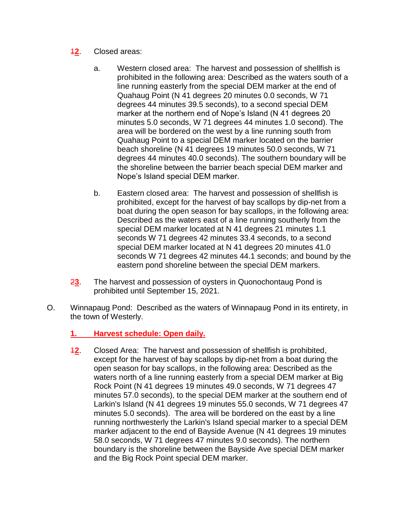- 1**2**. Closed areas:
	- a. Western closed area: The harvest and possession of shellfish is prohibited in the following area: Described as the waters south of a line running easterly from the special DEM marker at the end of Quahaug Point (N 41 degrees 20 minutes 0.0 seconds, W 71 degrees 44 minutes 39.5 seconds), to a second special DEM marker at the northern end of Nope's Island (N 41 degrees 20 minutes 5.0 seconds, W 71 degrees 44 minutes 1.0 second). The area will be bordered on the west by a line running south from Quahaug Point to a special DEM marker located on the barrier beach shoreline (N 41 degrees 19 minutes 50.0 seconds, W 71 degrees 44 minutes 40.0 seconds). The southern boundary will be the shoreline between the barrier beach special DEM marker and Nope's Island special DEM marker.
	- b. Eastern closed area: The harvest and possession of shellfish is prohibited, except for the harvest of bay scallops by dip-net from a boat during the open season for bay scallops, in the following area: Described as the waters east of a line running southerly from the special DEM marker located at N 41 degrees 21 minutes 1.1 seconds W 71 degrees 42 minutes 33.4 seconds, to a second special DEM marker located at N 41 degrees 20 minutes 41.0 seconds W 71 degrees 42 minutes 44.1 seconds; and bound by the eastern pond shoreline between the special DEM markers.
- 2**3**. The harvest and possession of oysters in Quonochontaug Pond is prohibited until September 15, 2021.
- O. Winnapaug Pond: Described as the waters of Winnapaug Pond in its entirety, in the town of Westerly.
	- **1. Harvest schedule: Open daily.**
	- 1**2**. Closed Area: The harvest and possession of shellfish is prohibited, except for the harvest of bay scallops by dip-net from a boat during the open season for bay scallops, in the following area: Described as the waters north of a line running easterly from a special DEM marker at Big Rock Point (N 41 degrees 19 minutes 49.0 seconds, W 71 degrees 47 minutes 57.0 seconds), to the special DEM marker at the southern end of Larkin's Island (N 41 degrees 19 minutes 55.0 seconds, W 71 degrees 47 minutes 5.0 seconds). The area will be bordered on the east by a line running northwesterly the Larkin's Island special marker to a special DEM marker adjacent to the end of Bayside Avenue (N 41 degrees 19 minutes 58.0 seconds, W 71 degrees 47 minutes 9.0 seconds). The northern boundary is the shoreline between the Bayside Ave special DEM marker and the Big Rock Point special DEM marker.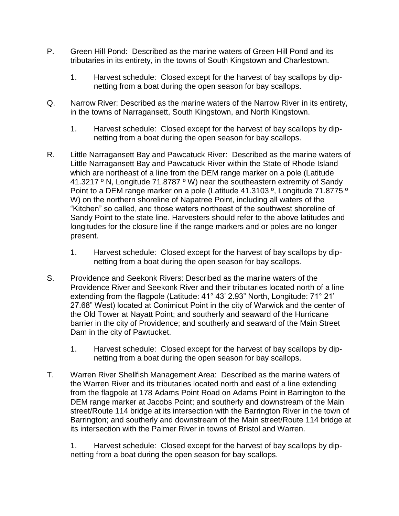- P. Green Hill Pond: Described as the marine waters of Green Hill Pond and its tributaries in its entirety, in the towns of South Kingstown and Charlestown.
	- 1. Harvest schedule: Closed except for the harvest of bay scallops by dipnetting from a boat during the open season for bay scallops.
- Q. Narrow River: Described as the marine waters of the Narrow River in its entirety, in the towns of Narragansett, South Kingstown, and North Kingstown.
	- 1. Harvest schedule: Closed except for the harvest of bay scallops by dipnetting from a boat during the open season for bay scallops.
- R. Little Narragansett Bay and Pawcatuck River: Described as the marine waters of Little Narragansett Bay and Pawcatuck River within the State of Rhode Island which are northeast of a line from the DEM range marker on a pole (Latitude 41.3217 ° N, Longitude 71.8787 ° W) near the southeastern extremity of Sandy Point to a DEM range marker on a pole (Latitude 41.3103 º, Longitude 71.8775 º W) on the northern shoreline of Napatree Point, including all waters of the "Kitchen" so called, and those waters northeast of the southwest shoreline of Sandy Point to the state line. Harvesters should refer to the above latitudes and longitudes for the closure line if the range markers and or poles are no longer present.
	- 1. Harvest schedule: Closed except for the harvest of bay scallops by dipnetting from a boat during the open season for bay scallops.
- S. Providence and Seekonk Rivers: Described as the marine waters of the Providence River and Seekonk River and their tributaries located north of a line extending from the flagpole (Latitude: 41° 43' 2.93" North, Longitude: 71° 21' 27.68" West) located at Conimicut Point in the city of Warwick and the center of the Old Tower at Nayatt Point; and southerly and seaward of the Hurricane barrier in the city of Providence; and southerly and seaward of the Main Street Dam in the city of Pawtucket.
	- 1. Harvest schedule: Closed except for the harvest of bay scallops by dipnetting from a boat during the open season for bay scallops.
- T. Warren River Shellfish Management Area: Described as the marine waters of the Warren River and its tributaries located north and east of a line extending from the flagpole at 178 Adams Point Road on Adams Point in Barrington to the DEM range marker at Jacobs Point; and southerly and downstream of the Main street/Route 114 bridge at its intersection with the Barrington River in the town of Barrington; and southerly and downstream of the Main street/Route 114 bridge at its intersection with the Palmer River in towns of Bristol and Warren.

1. Harvest schedule: Closed except for the harvest of bay scallops by dipnetting from a boat during the open season for bay scallops.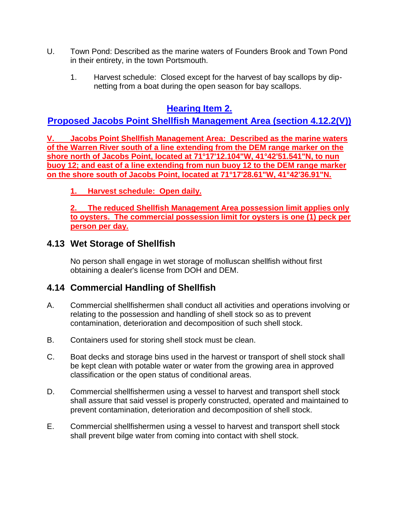- U. Town Pond: Described as the marine waters of Founders Brook and Town Pond in their entirety, in the town Portsmouth.
	- 1. Harvest schedule: Closed except for the harvest of bay scallops by dipnetting from a boat during the open season for bay scallops.

# **Hearing Item 2.**

# **Proposed Jacobs Point Shellfish Management Area (section 4.12.2(V))**

**V. Jacobs Point Shellfish Management Area: Described as the marine waters of the Warren River south of a line extending from the DEM range marker on the shore north of Jacobs Point, located at 71°17'12.104"W, 41°42'51.541"N, to nun buoy 12; and east of a line extending from nun buoy 12 to the DEM range marker on the shore south of Jacobs Point, located at 71°17'28.61"W, 41°42'36.91"N.**

**1. Harvest schedule: Open daily.**

**2. The reduced Shellfish Management Area possession limit applies only to oysters. The commercial possession limit for oysters is one (1) peck per person per day.**

# <span id="page-19-0"></span>**4.13 Wet Storage of Shellfish**

No person shall engage in wet storage of molluscan shellfish without first obtaining a dealer's license from DOH and DEM.

# <span id="page-19-1"></span>**4.14 Commercial Handling of Shellfish**

- A. Commercial shellfishermen shall conduct all activities and operations involving or relating to the possession and handling of shell stock so as to prevent contamination, deterioration and decomposition of such shell stock.
- B. Containers used for storing shell stock must be clean.
- C. Boat decks and storage bins used in the harvest or transport of shell stock shall be kept clean with potable water or water from the growing area in approved classification or the open status of conditional areas.
- D. Commercial shellfishermen using a vessel to harvest and transport shell stock shall assure that said vessel is properly constructed, operated and maintained to prevent contamination, deterioration and decomposition of shell stock.
- E. Commercial shellfishermen using a vessel to harvest and transport shell stock shall prevent bilge water from coming into contact with shell stock.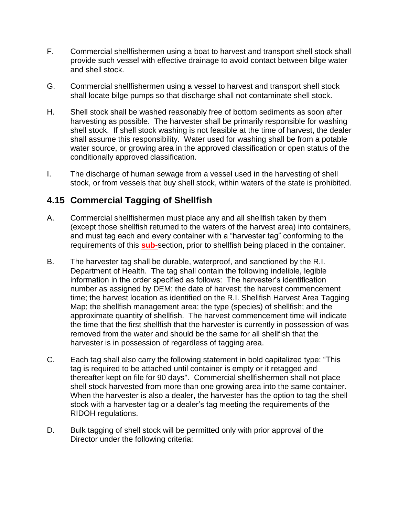- F. Commercial shellfishermen using a boat to harvest and transport shell stock shall provide such vessel with effective drainage to avoid contact between bilge water and shell stock.
- G. Commercial shellfishermen using a vessel to harvest and transport shell stock shall locate bilge pumps so that discharge shall not contaminate shell stock.
- H. Shell stock shall be washed reasonably free of bottom sediments as soon after harvesting as possible. The harvester shall be primarily responsible for washing shell stock. If shell stock washing is not feasible at the time of harvest, the dealer shall assume this responsibility. Water used for washing shall be from a potable water source, or growing area in the approved classification or open status of the conditionally approved classification.
- I. The discharge of human sewage from a vessel used in the harvesting of shell stock, or from vessels that buy shell stock, within waters of the state is prohibited.

# <span id="page-20-0"></span>**4.15 Commercial Tagging of Shellfish**

- A. Commercial shellfishermen must place any and all shellfish taken by them (except those shellfish returned to the waters of the harvest area) into containers, and must tag each and every container with a "harvester tag" conforming to the requirements of this **sub-**section, prior to shellfish being placed in the container.
- B. The harvester tag shall be durable, waterproof, and sanctioned by the R.I. Department of Health. The tag shall contain the following indelible, legible information in the order specified as follows: The harvester's identification number as assigned by DEM; the date of harvest; the harvest commencement time; the harvest location as identified on the R.I. Shellfish Harvest Area Tagging Map; the shellfish management area; the type (species) of shellfish; and the approximate quantity of shellfish. The harvest commencement time will indicate the time that the first shellfish that the harvester is currently in possession of was removed from the water and should be the same for all shellfish that the harvester is in possession of regardless of tagging area.
- C. Each tag shall also carry the following statement in bold capitalized type: "This tag is required to be attached until container is empty or it retagged and thereafter kept on file for 90 days". Commercial shellfishermen shall not place shell stock harvested from more than one growing area into the same container. When the harvester is also a dealer, the harvester has the option to tag the shell stock with a harvester tag or a dealer's tag meeting the requirements of the RIDOH regulations.
- D. Bulk tagging of shell stock will be permitted only with prior approval of the Director under the following criteria: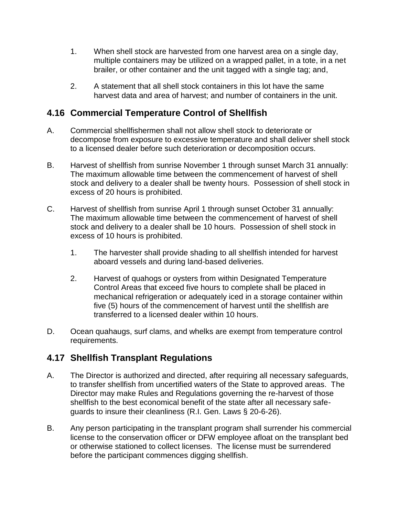- 1. When shell stock are harvested from one harvest area on a single day, multiple containers may be utilized on a wrapped pallet, in a tote, in a net brailer, or other container and the unit tagged with a single tag; and,
- 2. A statement that all shell stock containers in this lot have the same harvest data and area of harvest; and number of containers in the unit.

# <span id="page-21-0"></span>**4.16 Commercial Temperature Control of Shellfish**

- A. Commercial shellfishermen shall not allow shell stock to deteriorate or decompose from exposure to excessive temperature and shall deliver shell stock to a licensed dealer before such deterioration or decomposition occurs.
- B. Harvest of shellfish from sunrise November 1 through sunset March 31 annually: The maximum allowable time between the commencement of harvest of shell stock and delivery to a dealer shall be twenty hours. Possession of shell stock in excess of 20 hours is prohibited.
- C. Harvest of shellfish from sunrise April 1 through sunset October 31 annually: The maximum allowable time between the commencement of harvest of shell stock and delivery to a dealer shall be 10 hours. Possession of shell stock in excess of 10 hours is prohibited.
	- 1. The harvester shall provide shading to all shellfish intended for harvest aboard vessels and during land-based deliveries.
	- 2. Harvest of quahogs or oysters from within Designated Temperature Control Areas that exceed five hours to complete shall be placed in mechanical refrigeration or adequately iced in a storage container within five (5) hours of the commencement of harvest until the shellfish are transferred to a licensed dealer within 10 hours.
- D. Ocean quahaugs, surf clams, and whelks are exempt from temperature control requirements.

### <span id="page-21-1"></span>**4.17 Shellfish Transplant Regulations**

- A. The Director is authorized and directed, after requiring all necessary safeguards, to transfer shellfish from uncertified waters of the State to approved areas. The Director may make Rules and Regulations governing the re-harvest of those shellfish to the best economical benefit of the state after all necessary safeguards to insure their cleanliness (R.I. Gen. Laws § 20-6-26).
- B. Any person participating in the transplant program shall surrender his commercial license to the conservation officer or DFW employee afloat on the transplant bed or otherwise stationed to collect licenses. The license must be surrendered before the participant commences digging shellfish.